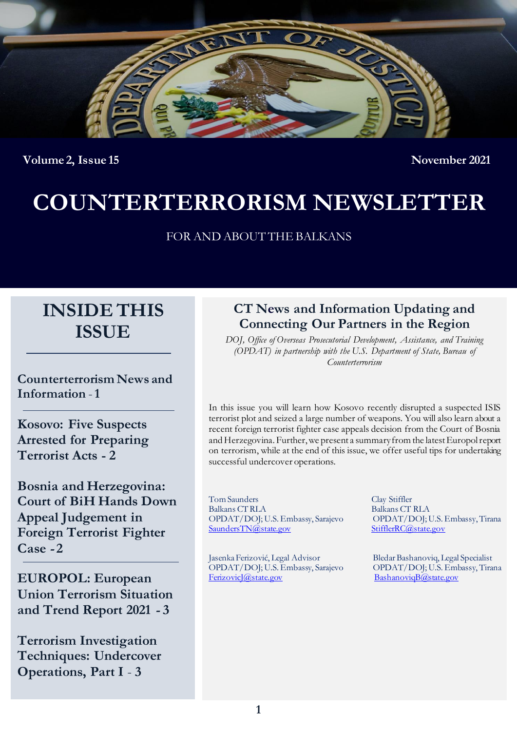

**Volume 2, Issue 15 November 2021** 

# **COUNTERTERRORISM NEWSLETTER**

FOR AND ABOUT THE BALKANS

# **INSIDE THIS ISSUE**

**Counterterrorism News and Information** -**1**

**Kosovo: Five Suspects Arrested for Preparing Terrorist Acts - 2**

**Bosnia and Herzegovina: Court of BiH Hands Down Appeal Judgement in Foreign Terrorist Fighter Case - 2**

**EUROPOL: European Union Terrorism Situation and Trend Report 2021 - 3**

**Terrorism Investigation Techniques: Undercover Operations, Part I** - **3**

# **CT News and Information Updating and Connecting Our Partners in the Region**

*DOJ, Office of Overseas Prosecutorial Development, Assistance, and Training (OPDAT) in partnership with the U.S. Department of State, Bureau of Counterterrorism*

In this issue you will learn how Kosovo recently disrupted a suspected ISIS terrorist plot and seized a large number of weapons. You will also learn about a recent foreign terrorist fighter case appeals decision from the Court of Bosnia and Herzegovina. Further, we present a summary from the latest Europol report on terrorism, while at the end of this issue, we offer useful tips for undertaking successful undercover operations.

Tom Saunders Clay Stiffler Balkans CT RLA Balkans CT RLA OPDAT/DOJ; U.S. Embassy, Sarajevo OPDAT/DOJ; U.S. Embassy, Tirana [SaundersTN@state.gov](mailto:saunderstn@state.gov) [StifflerRC@state.gov](mailto:StifflerRC@state.gov)

Jasenka Ferizović, Legal Advisor Bledar Bashanoviq, Legal Specialist OPDAT/DOJ; U.S. Embassy, Sarajevo OPDAT/DOJ; U.S. Embassy, Tirana [FerizovicJ@state.gov](mailto:FerizovicJ@state.gov) [BashanoviqB@state.gov](mailto:BashanoviqB@state.gov)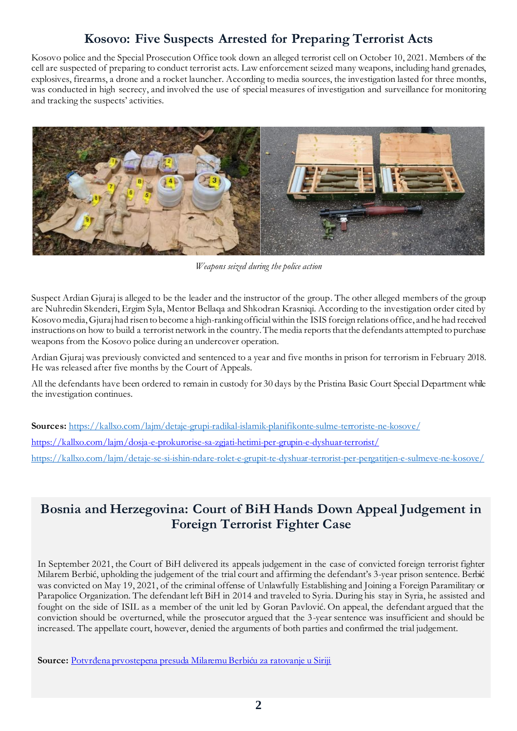# **Kosovo: Five Suspects Arrested for Preparing Terrorist Acts**

Kosovo police and the Special Prosecution Office took down an alleged terrorist cell on October 10, 2021. Members of the cell are suspected of preparing to conduct terrorist acts. Law enforcement seized many weapons, including hand grenades, explosives, firearms, a drone and a rocket launcher. According to media sources, the investigation lasted for three months, was conducted in high secrecy, and involved the use of special measures of investigation and surveillance for monitoring and tracking the suspects' activities.



*Weapons seized during the police action*

Suspect Ardian Gjuraj is alleged to be the leader and the instructor of the group. The other alleged members of the group are Nuhredin Skenderi, Ergim Syla, Mentor Bellaqa and Shkodran Krasniqi. According to the investigation order cited by Kosovo media, Gjuraj had risen to become a high-ranking official within the ISIS foreign relations office, and he had received instructions on how to build a terrorist network in the country. The media reportsthat the defendants attempted to purchase weapons from the Kosovo police during an undercover operation.

Ardian Gjuraj was previously convicted and sentenced to a year and five months in prison for terrorism in February 2018. He was released after five months by the Court of Appeals.

All the defendants have been ordered to remain in custody for 30 days by the Pristina Basic Court Special Department while the investigation continues.

**Sources:** <https://kallxo.com/lajm/detaje-grupi-radikal-islamik-planifikonte-sulme-terroriste-ne-kosove/> <https://kallxo.com/lajm/dosja-e-prokurorise-sa-zgjati-hetimi-per-grupin-e-dyshuar-terrorist/> <https://kallxo.com/lajm/detaje-se-si-ishin-ndare-rolet-e-grupit-te-dyshuar-terrorist-per-pergatitjen-e-sulmeve-ne-kosove/>

#### **Bosnia and Herzegovina: Court of BiH Hands Down Appeal Judgement in Foreign Terrorist Fighter Case**

In September 2021, the Court of BiH delivered its appeals judgement in the case of convicted foreign terrorist fighter Milarem Berbić, upholding the judgement of the trial court and affirming the defendant's 3-year prison sentence. Berbić was convicted on May 19, 2021, of the criminal offense of Unlawfully Establishing and Joining a Foreign Paramilitary or Parapolice Organization. The defendant left BiH in 2014 and traveled to Syria. During his stay in Syria, he assisted and fought on the side of ISIL as a member of the unit led by Goran Pavlović. On appeal, the defendant argued that the conviction should be overturned, while the prosecutor argued that the 3-year sentence was insufficient and should be increased. The appellate court, however, denied the arguments of both parties and confirmed the trial judgement.

**Source:** [Potvrđena prvostepena presuda Milaremu Berbiću za ratovanje u Siriji](https://detektor.ba/2021/10/07/potvrdjena-prvostepena-presuda-milaremu-berbicu-za-ratovanje-u-siriji/)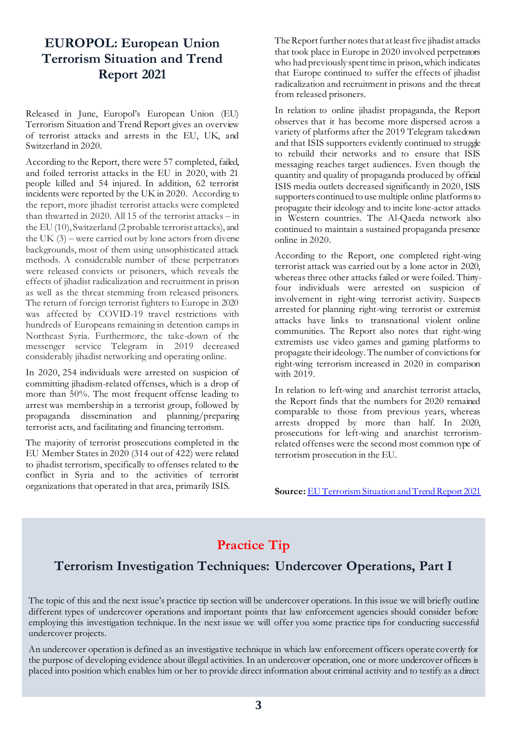### **EUROPOL: European Union Terrorism Situation and Trend Report 2021**

Released in June, Europol's European Union (EU) Terrorism Situation and Trend Report gives an overview of terrorist attacks and arrests in the EU, UK, and Switzerland in 2020.

According to the Report, there were 57 completed, failed, and foiled terrorist attacks in the EU in 2020, with 21 people killed and 54 injured. In addition, 62 terrorist incidents were reported by the UK in 2020. According to the report, more jihadist terrorist attacks were completed than thwarted in 2020. All 15 of the terrorist attacks  $-$  in the EU (10), Switzerland (2 probable terrorist attacks), and the UK  $(3)$  – were carried out by lone actors from diverse backgrounds, most of them using unsophisticated attack methods. A considerable number of these perpetrators were released convicts or prisoners, which reveals the effects of jihadist radicalization and recruitment in prison as well as the threat stemming from released prisoners. The return of foreign terrorist fighters to Europe in 2020 was affected by COVID-19 travel restrictions with hundreds of Europeans remaining in detention camps in Northeast Syria. Furthermore, the take-down of the messenger service Telegram in 2019 decreased considerably jihadist networking and operating online.

In 2020, 254 individuals were arrested on suspicion of committing jihadism-related offenses, which is a drop of more than 50%. The most frequent offense leading to arrest was membership in a terrorist group, followed by propaganda dissemination and planning/preparing terrorist acts, and facilitating and financing terrorism.

The majority of terrorist prosecutions completed in the EU Member States in 2020 (314 out of 422) were related to jihadist terrorism, specifically to offenses related to the conflict in Syria and to the activities of terrorist organizations that operated in that area, primarily ISIS.

The Report further notes that at least five jihadist attacks that took place in Europe in 2020 involved perpetrators who had previously spent time in prison, which indicates that Europe continued to suffer the effects of jihadist radicalization and recruitment in prisons and the threat from released prisoners.

In relation to online jihadist propaganda, the Report observes that it has become more dispersed across a variety of platforms after the 2019 Telegram takedown and that ISIS supporters evidently continued to struggle to rebuild their networks and to ensure that ISIS messaging reaches target audiences. Even though the quantity and quality of propaganda produced by official ISIS media outlets decreased significantly in 2020, ISIS supporters continued to use multiple online platforms to propagate their ideology and to incite lone-actor attacks in Western countries. The Al-Qaeda network also continued to maintain a sustained propaganda presence online in 2020.

According to the Report, one completed right-wing terrorist attack was carried out by a lone actor in 2020, whereas three other attacks failed or were foiled. Thirtyfour individuals were arrested on suspicion of involvement in right-wing terrorist activity. Suspects arrested for planning right-wing terrorist or extremist attacks have links to transnational violent online communities. The Report also notes that right-wing extremists use video games and gaming platforms to propagate their ideology. The number of convictions for right-wing terrorism increased in 2020 in comparison with 2019.

In relation to left-wing and anarchist terrorist attacks, the Report finds that the numbers for 2020 remained comparable to those from previous years, whereas arrests dropped by more than half. In 2020, prosecutions for left-wing and anarchist terrorismrelated offenses were the second most common type of terrorism prosecution in the EU.

**Source:** [EU Terrorism Situation and Trend Report 2021](https://www.europol.europa.eu/activities-services/main-reports/eu-terrorism-situation-and-trend-report)

#### **Practice Tip**

#### **Terrorism Investigation Techniques: Undercover Operations, Part I**

The topic of this and the next issue's practice tip section will be undercover operations. In this issue we will briefly outline different types of undercover operations and important points that law enforcement agencies should consider before employing this investigation technique. In the next issue we will offer you some practice tips for conducting successful undercover projects.

An undercover operation is defined as an investigative technique in which law enforcement officers operate covertly for the purpose of developing evidence about illegal activities. In an undercover operation, one or more undercover officers is placed into position which enables him or her to provide direct information about criminal activity and to testify as a direct